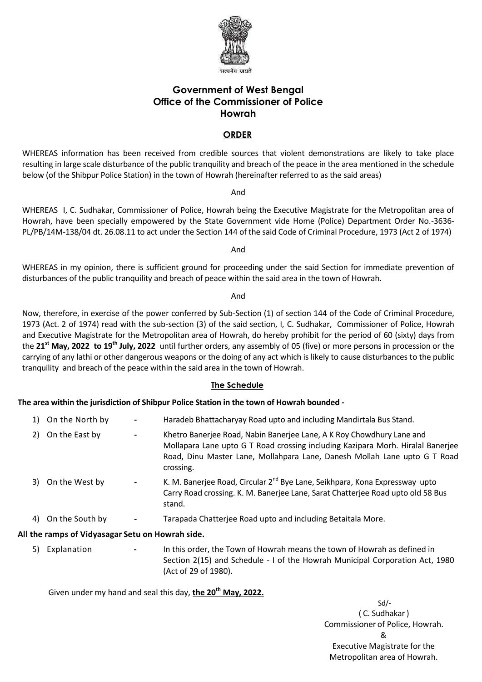

# **Government of West Bengal Office of the Commissioner of Police Howrah**

# **ORDER**

WHEREAS information has been received from credible sources that violent demonstrations are likely to take place resulting in large scale disturbance of the public tranquility and breach of the peace in the area mentioned in the schedule below (of the Shibpur Police Station) in the town of Howrah (hereinafter referred to as the said areas)

And

WHEREAS I, C. Sudhakar, Commissioner of Police, Howrah being the Executive Magistrate for the Metropolitan area of Howrah, have been specially empowered by the State Government vide Home (Police) Department Order No.-3636- PL/PB/14M-138/04 dt. 26.08.11 to act under the Section 144 of the said Code of Criminal Procedure, 1973 (Act 2 of 1974)

And

WHEREAS in my opinion, there is sufficient ground for proceeding under the said Section for immediate prevention of disturbances of the public tranquility and breach of peace within the said area in the town of Howrah.

And

Now, therefore, in exercise of the power conferred by Sub-Section (1) of section 144 of the Code of Criminal Procedure, 1973 (Act. 2 of 1974) read with the sub-section (3) of the said section, I, C. Sudhakar, Commissioner of Police, Howrah and Executive Magistrate for the Metropolitan area of Howrah, do hereby prohibit for the period of 60 (sixty) days from the **21st May, 2022 to 19th July, 2022** until further orders, any assembly of 05 (five) or more persons in procession or the carrying of any lathi or other dangerous weapons or the doing of any act which is likely to cause disturbances to the public tranquility and breach of the peace within the said area in the town of Howrah.

## **The Schedule**

**The area within the jurisdiction of Shibpur Police Station in the town of Howrah bounded -**

- 1) On the North by **-** Haradeb Bhattacharyay Road upto and including Mandirtala Bus Stand. 2) On the East by **-** Khetro Banerjee Road, Nabin Banerjee Lane, A K Roy Chowdhury Lane and Mollapara Lane upto G T Road crossing including Kazipara Morh. Hiralal Banerjee Road, Dinu Master Lane, Mollahpara Lane, Danesh Mollah Lane upto G T Road crossing. 3) On the West by **-** K. M. Banerjee Road, Circular 2nd Bye Lane, Seikhpara, Kona Expressway upto Carry Road crossing. K. M. Banerjee Lane, Sarat Chatterjee Road upto old 58 Bus stand.
- 4) On the South by **-** Tarapada Chatterjee Road upto and including Betaitala More.

## **All the ramps of Vidyasagar Setu on Howrah side.**

5) Explanation **-** In this order, the Town of Howrah means the town of Howrah as defined in Section 2(15) and Schedule - I of the Howrah Municipal Corporation Act, 1980 (Act of 29 of 1980).

Given under my hand and seal this day, **the 20 th May, 2022.**

Sd/- ( C. Sudhakar) Commissioner of Police, Howrah. & Executive Magistrate for the Metropolitan area of Howrah.